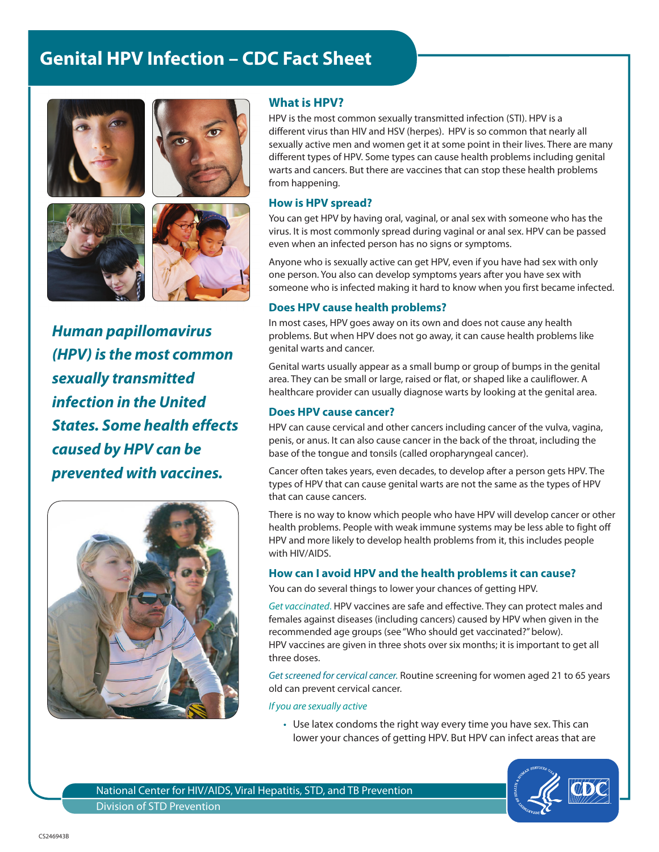# **Genital HPV Infection – CDC Fact Sheet**









*Human papillomavirus (HPV) is the most common sexually transmitted infection in the United States. Some health effects caused by HPV can be prevented with vaccines.* 



## **What is HPV?**

HPV is the most common sexually transmitted infection (STI). HPV is a different virus than HIV and HSV (herpes). HPV is so common that nearly all sexually active men and women get it at some point in their lives. There are many different types of HPV. Some types can cause health problems including genital warts and cancers. But there are vaccines that can stop these health problems from happening.

#### **How is HPV spread?**

You can get HPV by having oral, vaginal, or anal sex with someone who has the virus. It is most commonly spread during vaginal or anal sex. HPV can be passed even when an infected person has no signs or symptoms.

Anyone who is sexually active can get HPV, even if you have had sex with only one person. You also can develop symptoms years after you have sex with someone who is infected making it hard to know when you first became infected.

## **Does HPV cause health problems?**

In most cases, HPV goes away on its own and does not cause any health problems. But when HPV does not go away, it can cause health problems like genital warts and cancer.

Genital warts usually appear as a small bump or group of bumps in the genital area. They can be small or large, raised or flat, or shaped like a cauliflower. A healthcare provider can usually diagnose warts by looking at the genital area.

#### **Does HPV cause cancer?**

HPV can cause cervical and other cancers including cancer of the vulva, vagina, penis, or anus. It can also cause cancer in the back of the throat, including the base of the tongue and tonsils (called oropharyngeal cancer).

Cancer often takes years, even decades, to develop after a person gets HPV. The types of HPV that can cause genital warts are not the same as the types of HPV that can cause cancers.

There is no way to know which people who have HPV will develop cancer or other health problems. People with weak immune systems may be less able to fight off HPV and more likely to develop health problems from it, this includes people with HIV/AIDS.

#### **How can I avoid HPV and the health problems it can cause?**

You can do several things to lower your chances of getting HPV.

*Get vaccinated*. HPV vaccines are safe and effective. They can protect males and females against diseases (including cancers) caused by HPV when given in the recommended age groups (see "Who should get vaccinated?" below). HPV vaccines are given in three shots over six months; it is important to get all three doses.

*Get screened for cervical cancer.* Routine screening for women aged 21 to 65 years old can prevent cervical cancer.

#### *If you are sexually active*

• Use latex condoms the right way every time you have sex. This can lower your chances of getting HPV. But HPV can infect areas that are



National Center for HIV/AIDS, Viral Hepatitis, STD, and TB Prevention Division of STD Prevention